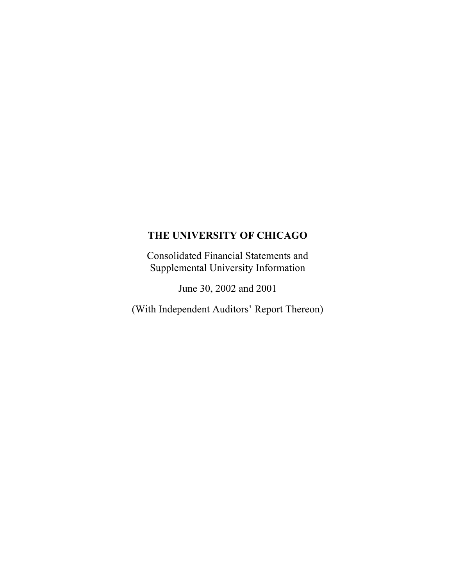Consolidated Financial Statements and Supplemental University Information

June 30, 2002 and 2001

(With Independent Auditors' Report Thereon)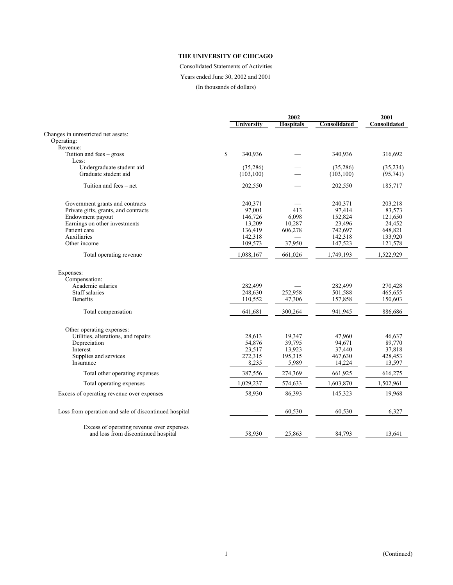# Consolidated Statements of Activities Years ended June 30, 2002 and 2001

(In thousands of dollars)

|                                                                                  |               | 2001             |              |              |
|----------------------------------------------------------------------------------|---------------|------------------|--------------|--------------|
|                                                                                  | Universitv    | <b>Hospitals</b> | Consolidated | Consolidated |
| Changes in unrestricted net assets:                                              |               |                  |              |              |
| Operating:                                                                       |               |                  |              |              |
| Revenue:                                                                         |               |                  |              |              |
| Tuition and fees $-$ gross                                                       | \$<br>340,936 |                  | 340,936      | 316,692      |
| Less:                                                                            |               |                  |              |              |
| Undergraduate student aid                                                        | (35, 286)     |                  | (35, 286)    | (35, 234)    |
| Graduate student aid                                                             | (103, 100)    |                  | (103, 100)   | (95, 741)    |
|                                                                                  |               |                  |              |              |
| Tuition and fees – net                                                           | 202,550       |                  | 202,550      | 185,717      |
| Government grants and contracts                                                  | 240,371       |                  | 240,371      | 203,218      |
| Private gifts, grants, and contracts                                             | 97,001        | 413              | 97,414       | 83,573       |
| Endowment payout                                                                 | 146,726       | 6,098            | 152,824      | 121,650      |
| Earnings on other investments                                                    | 13,209        | 10,287           | 23,496       | 24,452       |
| Patient care                                                                     | 136,419       | 606,278          | 742,697      | 648,821      |
| Auxiliaries                                                                      | 142,318       |                  | 142,318      | 133,920      |
| Other income                                                                     | 109,573       | 37,950           | 147,523      | 121,578      |
| Total operating revenue                                                          | 1,088,167     | 661,026          | 1,749,193    | 1,522,929    |
| Expenses:                                                                        |               |                  |              |              |
| Compensation:                                                                    |               |                  |              |              |
| Academic salaries                                                                | 282,499       |                  | 282,499      | 270,428      |
| Staff salaries                                                                   | 248,630       | 252,958          | 501,588      | 465,655      |
| <b>Benefits</b>                                                                  | 110,552       | 47,306           | 157,858      | 150,603      |
| Total compensation                                                               | 641,681       | 300,264          | 941,945      | 886,686      |
| Other operating expenses:                                                        |               |                  |              |              |
| Utilities, alterations, and repairs                                              | 28,613        | 19,347           | 47,960       | 46,637       |
| Depreciation                                                                     | 54,876        | 39,795           | 94,671       | 89,770       |
| Interest                                                                         | 23,517        | 13,923           | 37,440       | 37,818       |
| Supplies and services                                                            | 272,315       | 195,315          | 467,630      | 428,453      |
| Insurance                                                                        | 8,235         | 5,989            | 14,224       | 13,597       |
| Total other operating expenses                                                   | 387,556       | 274,369          | 661,925      | 616,275      |
| Total operating expenses                                                         | 1,029,237     | 574,633          | 1,603,870    | 1,502,961    |
|                                                                                  |               |                  |              |              |
| Excess of operating revenue over expenses                                        | 58,930        | 86,393           | 145,323      | 19,968       |
| Loss from operation and sale of discontinued hospital                            |               | 60,530           | 60,530       | 6,327        |
| Excess of operating revenue over expenses<br>and loss from discontinued hospital | 58,930        | 25,863           | 84,793       | 13,641       |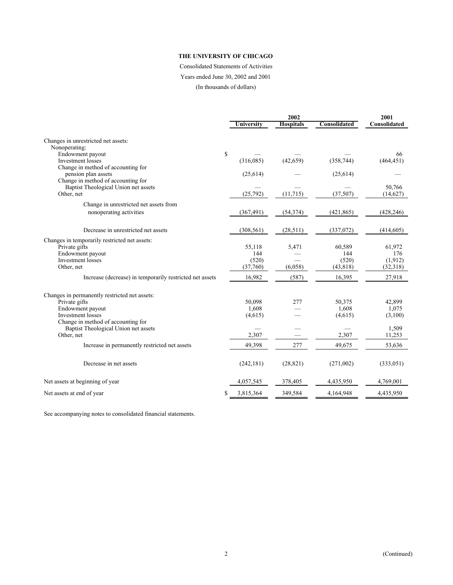# Consolidated Statements of Activities

Years ended June 30, 2002 and 2001

(In thousands of dollars)

|                                                          |            | 2002             |              |              |
|----------------------------------------------------------|------------|------------------|--------------|--------------|
|                                                          | University | <b>Hospitals</b> | Consolidated | Consolidated |
| Changes in unrestricted net assets:                      |            |                  |              |              |
| Nonoperating:                                            |            |                  |              |              |
| \$<br>Endowment payout                                   |            |                  |              | 66           |
| <b>Investment</b> losses                                 | (316,085)  | (42, 659)        | (358, 744)   | (464, 451)   |
| Change in method of accounting for                       |            |                  |              |              |
| pension plan assets                                      | (25, 614)  |                  | (25, 614)    |              |
| Change in method of accounting for                       |            |                  |              |              |
| Baptist Theological Union net assets                     |            |                  |              | 50,766       |
| Other, net                                               | (25,792)   | (11, 715)        | (37, 507)    | (14,627)     |
| Change in unrestricted net assets from                   |            |                  |              |              |
| nonoperating activities                                  | (367, 491) | (54, 374)        | (421, 865)   | (428, 246)   |
|                                                          |            |                  |              |              |
| Decrease in unrestricted net assets                      | (308, 561) | (28, 511)        | (337,072)    | (414, 605)   |
| Changes in temporarily restricted net assets:            |            |                  |              |              |
| Private gifts                                            | 55,118     | 5,471            | 60,589       | 61,972       |
| Endowment payout                                         | 144        |                  | 144          | 176          |
| Investment losses                                        | (520)      |                  | (520)        | (1, 912)     |
| Other, net                                               | (37,760)   | (6,058)          | (43, 818)    | (32,318)     |
| Increase (decrease) in temporarily restricted net assets | 16,982     | (587)            | 16,395       | 27,918       |
| Changes in permanently restricted net assets:            |            |                  |              |              |
| Private gifts                                            | 50,098     | 277              | 50,375       | 42,899       |
| Endowment payout                                         | 1,608      |                  | 1,608        | 1,075        |
| Investment losses                                        | (4,615)    |                  | (4,615)      | (3,100)      |
| Change in method of accounting for                       |            |                  |              |              |
| Baptist Theological Union net assets                     |            |                  |              | 1,509        |
| Other, net                                               | 2,307      |                  | 2,307        | 11,253       |
| Increase in permanently restricted net assets            | 49,398     | 277              | 49,675       | 53,636       |
| Decrease in net assets                                   | (242, 181) | (28, 821)        | (271,002)    | (333, 051)   |
| Net assets at beginning of year                          | 4,057,545  | 378,405          | 4,435,950    | 4,769,001    |
| S<br>Net assets at end of year                           | 3,815,364  | 349,584          | 4,164,948    | 4,435,950    |

See accompanying notes to consolidated financial statements.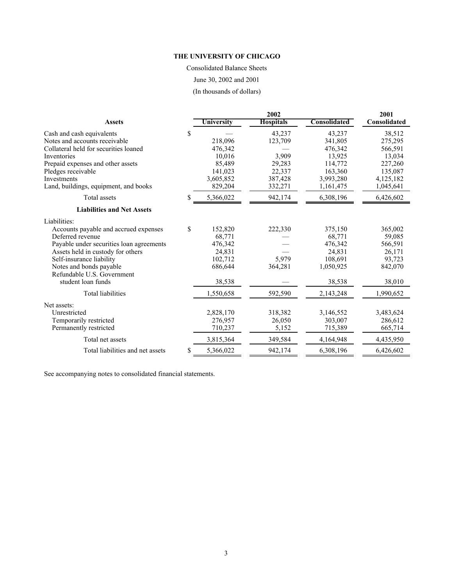Consolidated Balance Sheets June 30, 2002 and 2001

(In thousands of dollars)

|                                             |            | 2001             |                     |              |
|---------------------------------------------|------------|------------------|---------------------|--------------|
| <b>Assets</b>                               | University | <b>Hospitals</b> | <b>Consolidated</b> | Consolidated |
| \$<br>Cash and cash equivalents             |            | 43,237           | 43,237              | 38,512       |
| Notes and accounts receivable               | 218,096    | 123,709          | 341,805             | 275,295      |
| Collateral held for securities loaned       | 476,342    |                  | 476,342             | 566,591      |
| Inventories                                 | 10,016     | 3,909            | 13,925              | 13,034       |
| Prepaid expenses and other assets           | 85,489     | 29,283           | 114,772             | 227,260      |
| Pledges receivable                          | 141,023    | 22,337           | 163,360             | 135,087      |
| Investments                                 | 3,605,852  | 387,428          | 3,993,280           | 4,125,182    |
| Land, buildings, equipment, and books       | 829,204    | 332,271          | 1,161,475           | 1,045,641    |
| Total assets<br>\$                          | 5,366,022  | 942,174          | 6,308,196           | 6,426,602    |
| <b>Liabilities and Net Assets</b>           |            |                  |                     |              |
| Liabilities:                                |            |                  |                     |              |
| \$<br>Accounts payable and accrued expenses | 152,820    | 222,330          | 375,150             | 365,002      |
| Deferred revenue                            | 68,771     |                  | 68,771              | 59,085       |
| Payable under securities loan agreements    | 476,342    |                  | 476,342             | 566,591      |
| Assets held in custody for others           | 24,831     |                  | 24,831              | 26,171       |
| Self-insurance liability                    | 102,712    | 5,979            | 108,691             | 93,723       |
| Notes and bonds payable                     | 686,644    | 364,281          | 1,050,925           | 842,070      |
| Refundable U.S. Government                  |            |                  |                     |              |
| student loan funds                          | 38,538     |                  | 38,538              | 38,010       |
| Total liabilities                           | 1,550,658  | 592,590          | 2,143,248           | 1,990,652    |
| Net assets:                                 |            |                  |                     |              |
| Unrestricted                                | 2,828,170  | 318,382          | 3,146,552           | 3,483,624    |
| Temporarily restricted                      | 276,957    | 26,050           | 303,007             | 286,612      |
| Permanently restricted                      | 710,237    | 5,152            | 715,389             | 665,714      |
| Total net assets                            | 3,815,364  | 349,584          | 4,164,948           | 4,435,950    |
| Total liabilities and net assets<br>\$      | 5,366,022  | 942,174          | 6,308,196           | 6,426,602    |

See accompanying notes to consolidated financial statements.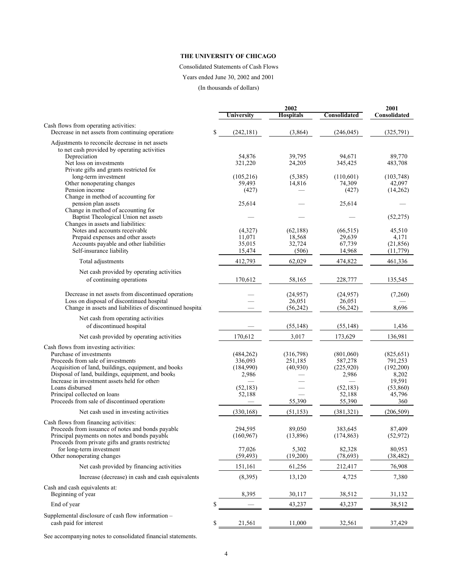#### Consolidated Statements of Cash Flows

Years ended June 30, 2002 and 2001

(In thousands of dollars)

|                                                                                                    |                   | 2001             |                   |                    |
|----------------------------------------------------------------------------------------------------|-------------------|------------------|-------------------|--------------------|
|                                                                                                    | <b>University</b> | <b>Hospitals</b> | Consolidated      | Consolidated       |
| Cash flows from operating activities:<br>Decrease in net assets from continuing operations         | \$<br>(242, 181)  | (3,864)          | (246, 045)        | (325,791)          |
| Adjustments to reconcile decrease in net assets                                                    |                   |                  |                   |                    |
| to net cash provided by operating activities                                                       |                   |                  |                   |                    |
| Depreciation<br>Net loss on investments                                                            | 54,876<br>321,220 | 39.795<br>24,205 | 94.671<br>345,425 | 89,770<br>483,708  |
| Private gifts and grants restricted for                                                            |                   |                  |                   |                    |
| long-term investment                                                                               | (105, 216)        | (5,385)          | (110,601)         | (103, 748)         |
| Other nonoperating changes                                                                         | 59,493            | 14,816           | 74,309            | 42,097             |
| Pension income                                                                                     | (427)             |                  | (427)             | (14,262)           |
| Change in method of accounting for<br>pension plan assets                                          | 25,614            |                  | 25,614            |                    |
| Change in method of accounting for                                                                 |                   |                  |                   |                    |
| Baptist Theological Union net assets                                                               |                   |                  |                   | (52, 275)          |
| Changes in assets and liabilities.                                                                 |                   |                  |                   |                    |
| Notes and accounts receivable                                                                      | (4,327)           | (62, 188)        | (66, 515)         | 45,510             |
| Prepaid expenses and other assets<br>Accounts payable and other liabilities                        | 11,071<br>35,015  | 18,568<br>32,724 | 29,639<br>67,739  | 4,171<br>(21, 856) |
| Self-insurance liability                                                                           | 15,474            | (506)            | 14,968            | (11, 779)          |
| Total adjustments                                                                                  |                   | 62,029           | 474,822           | 461,336            |
|                                                                                                    | 412,793           |                  |                   |                    |
| Net cash provided by operating activities                                                          |                   |                  |                   |                    |
| of continuing operations                                                                           | 170,612           | 58,165           | 228,777           | 135,545            |
| Decrease in net assets from discontinued operations                                                |                   | (24, 957)        | (24, 957)         | (7,260)            |
| Loss on disposal of discontinued hospital                                                          |                   | 26,051           | 26,051            |                    |
| Change in assets and liabilities of discontinued hospital                                          |                   | (56, 242)        | (56, 242)         | 8,696              |
| Net cash from operating activities                                                                 |                   |                  |                   |                    |
| of discontinued hospital                                                                           |                   | (55, 148)        | (55, 148)         | 1,436              |
| Net cash provided by operating activities                                                          | 170,612           | 3,017            | 173,629           | 136,981            |
| Cash flows from investing activities:                                                              |                   |                  |                   |                    |
| Purchase of investments                                                                            | (484, 262)        | (316,798)        | (801,060)         | (825, 651)         |
| Proceeds from sale of investments                                                                  | 336,093           | 251,185          | 587,278           | 791,253            |
| Acquisition of land, buildings, equipment, and books                                               | (184,990)         | (40,930)         | (225, 920)        | (192,200)          |
| Disposal of land, buildings, equipment, and books<br>Increase in investment assets held for others | 2,986             |                  | 2,986             | 8,202<br>19,591    |
| Loans disbursed                                                                                    | (52, 183)         |                  | (52, 183)         | (53,860)           |
| Principal collected on loans                                                                       | 52,188            |                  | 52,188            | 45,796             |
| Proceeds from sale of discontinued operations                                                      |                   | 55,390           | 55,390            | 360                |
| Net cash used in investing activities                                                              | (330, 168)        | (51, 153)        | (381, 321)        | (206, 509)         |
| Cash flows from financing activities:                                                              |                   |                  |                   |                    |
| Proceeds from issuance of notes and bonds payable                                                  | 294,595           | 89,050           | 383,645           | 87,409             |
| Principal payments on notes and bonds payable<br>Proceeds from private gifts and grants restricted | (160, 967)        | (13,896)         | (174, 863)        | (52, 972)          |
| for long-term investment                                                                           | 77,026            | 5,302            | 82,328            | 80,953             |
| Other nonoperating changes                                                                         | (59, 493)         | (19,200)         | (78, 693)         | (38, 482)          |
| Net cash provided by financing activities                                                          | 151,161           | 61,256           | 212,417           | 76,908             |
| Increase (decrease) in cash and cash equivalents                                                   | (8, 395)          | 13,120           | 4,725             | 7,380              |
| Cash and cash equivalents at:                                                                      |                   |                  |                   |                    |
| Beginning of year                                                                                  | 8,395             | 30,117           | 38,512            | 31,132             |
| End of year                                                                                        | \$                | 43,237           | 43,237            | 38,512             |
| Supplemental disclosure of cash flow information -                                                 |                   |                  |                   |                    |
| cash paid for interest                                                                             | \$<br>21,561      | 11,000           | 32,561            | 37,429             |
|                                                                                                    |                   |                  |                   |                    |

See accompanying notes to consolidated financial statements.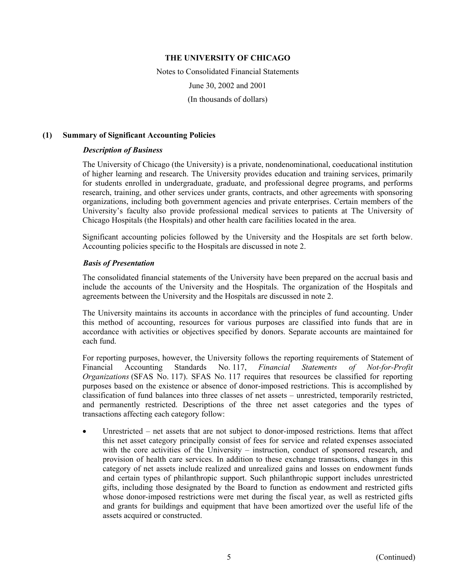Notes to Consolidated Financial Statements June 30, 2002 and 2001 (In thousands of dollars)

### **(1) Summary of Significant Accounting Policies**

### *Description of Business*

The University of Chicago (the University) is a private, nondenominational, coeducational institution of higher learning and research. The University provides education and training services, primarily for students enrolled in undergraduate, graduate, and professional degree programs, and performs research, training, and other services under grants, contracts, and other agreements with sponsoring organizations, including both government agencies and private enterprises. Certain members of the University's faculty also provide professional medical services to patients at The University of Chicago Hospitals (the Hospitals) and other health care facilities located in the area.

Significant accounting policies followed by the University and the Hospitals are set forth below. Accounting policies specific to the Hospitals are discussed in note 2.

### *Basis of Presentation*

The consolidated financial statements of the University have been prepared on the accrual basis and include the accounts of the University and the Hospitals. The organization of the Hospitals and agreements between the University and the Hospitals are discussed in note 2.

The University maintains its accounts in accordance with the principles of fund accounting. Under this method of accounting, resources for various purposes are classified into funds that are in accordance with activities or objectives specified by donors. Separate accounts are maintained for each fund.

For reporting purposes, however, the University follows the reporting requirements of Statement of Financial Accounting Standards No. 117, *Financial Statements of Not-for-Profit Organizations* (SFAS No. 117). SFAS No. 117 requires that resources be classified for reporting purposes based on the existence or absence of donor-imposed restrictions. This is accomplished by classification of fund balances into three classes of net assets – unrestricted, temporarily restricted, and permanently restricted. Descriptions of the three net asset categories and the types of transactions affecting each category follow:

• Unrestricted – net assets that are not subject to donor-imposed restrictions. Items that affect this net asset category principally consist of fees for service and related expenses associated with the core activities of the University – instruction, conduct of sponsored research, and provision of health care services. In addition to these exchange transactions, changes in this category of net assets include realized and unrealized gains and losses on endowment funds and certain types of philanthropic support. Such philanthropic support includes unrestricted gifts, including those designated by the Board to function as endowment and restricted gifts whose donor-imposed restrictions were met during the fiscal year, as well as restricted gifts and grants for buildings and equipment that have been amortized over the useful life of the assets acquired or constructed.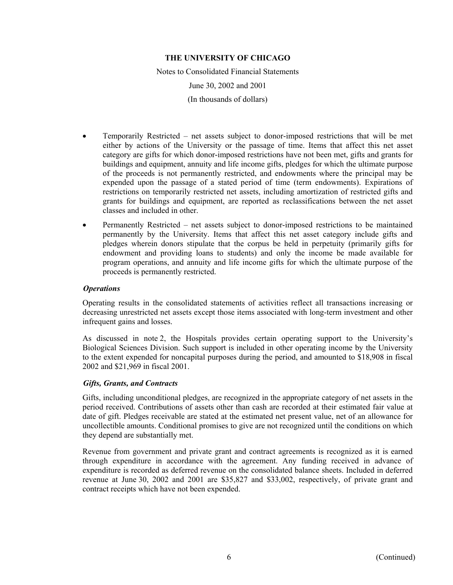Notes to Consolidated Financial Statements June 30, 2002 and 2001 (In thousands of dollars)

- Temporarily Restricted net assets subject to donor-imposed restrictions that will be met either by actions of the University or the passage of time. Items that affect this net asset category are gifts for which donor-imposed restrictions have not been met, gifts and grants for buildings and equipment, annuity and life income gifts, pledges for which the ultimate purpose of the proceeds is not permanently restricted, and endowments where the principal may be expended upon the passage of a stated period of time (term endowments). Expirations of restrictions on temporarily restricted net assets, including amortization of restricted gifts and grants for buildings and equipment, are reported as reclassifications between the net asset classes and included in other.
- Permanently Restricted net assets subject to donor-imposed restrictions to be maintained permanently by the University. Items that affect this net asset category include gifts and pledges wherein donors stipulate that the corpus be held in perpetuity (primarily gifts for endowment and providing loans to students) and only the income be made available for program operations, and annuity and life income gifts for which the ultimate purpose of the proceeds is permanently restricted.

# *Operations*

Operating results in the consolidated statements of activities reflect all transactions increasing or decreasing unrestricted net assets except those items associated with long-term investment and other infrequent gains and losses.

As discussed in note 2, the Hospitals provides certain operating support to the University's Biological Sciences Division. Such support is included in other operating income by the University to the extent expended for noncapital purposes during the period, and amounted to \$18,908 in fiscal 2002 and \$21,969 in fiscal 2001.

# *Gifts, Grants, and Contracts*

Gifts, including unconditional pledges, are recognized in the appropriate category of net assets in the period received. Contributions of assets other than cash are recorded at their estimated fair value at date of gift. Pledges receivable are stated at the estimated net present value, net of an allowance for uncollectible amounts. Conditional promises to give are not recognized until the conditions on which they depend are substantially met.

Revenue from government and private grant and contract agreements is recognized as it is earned through expenditure in accordance with the agreement. Any funding received in advance of expenditure is recorded as deferred revenue on the consolidated balance sheets. Included in deferred revenue at June 30, 2002 and 2001 are \$35,827 and \$33,002, respectively, of private grant and contract receipts which have not been expended.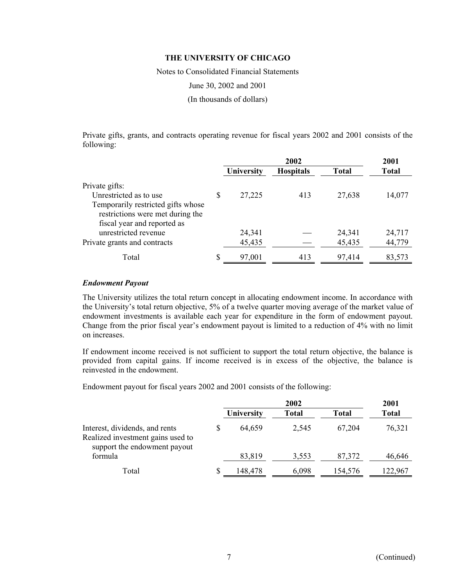Notes to Consolidated Financial Statements

June 30, 2002 and 2001

(In thousands of dollars)

Private gifts, grants, and contracts operating revenue for fiscal years 2002 and 2001 consists of the following:

|                                    |              | 2001             |              |              |
|------------------------------------|--------------|------------------|--------------|--------------|
|                                    | University   | <b>Hospitals</b> | <b>Total</b> | <b>Total</b> |
| Private gifts:                     |              |                  |              |              |
| Unrestricted as to use             | 27,225       | 413              | 27,638       | 14,077       |
| Temporarily restricted gifts whose |              |                  |              |              |
| restrictions were met during the   |              |                  |              |              |
| fiscal year and reported as        |              |                  |              |              |
| unrestricted revenue               | 24,341       |                  | 24,341       | 24,717       |
| Private grants and contracts       | 45,435       |                  | 45,435       | 44,779       |
| Total                              | \$<br>97,001 | 413              | 97,414       | 83,573       |

### *Endowment Payout*

The University utilizes the total return concept in allocating endowment income. In accordance with the University's total return objective, 5% of a twelve quarter moving average of the market value of endowment investments is available each year for expenditure in the form of endowment payout. Change from the prior fiscal year's endowment payout is limited to a reduction of 4% with no limit on increases.

If endowment income received is not sufficient to support the total return objective, the balance is provided from capital gains. If income received is in excess of the objective, the balance is reinvested in the endowment.

Endowment payout for fiscal years 2002 and 2001 consists of the following:

|                                                                                                     |                   | 2001  |              |              |
|-----------------------------------------------------------------------------------------------------|-------------------|-------|--------------|--------------|
|                                                                                                     | <b>University</b> | Total | <b>Total</b> | <b>Total</b> |
| Interest, dividends, and rents<br>Realized investment gains used to<br>support the endowment payout | 64,659            | 2,545 | 67,204       | 76,321       |
| formula                                                                                             | 83,819            | 3,553 | 87,372       | 46,646       |
| Total                                                                                               | 148,478           | 6,098 | 154,576      | 122,967      |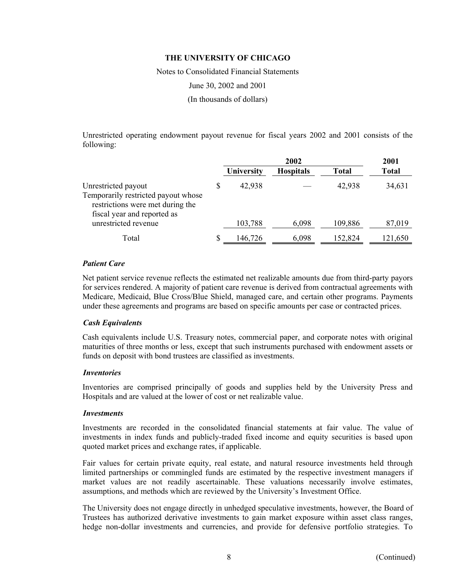Notes to Consolidated Financial Statements

June 30, 2002 and 2001

(In thousands of dollars)

Unrestricted operating endowment payout revenue for fiscal years 2002 and 2001 consists of the following:

|                                                                                                                               |   |            | 2001             |              |              |
|-------------------------------------------------------------------------------------------------------------------------------|---|------------|------------------|--------------|--------------|
|                                                                                                                               |   | University | <b>Hospitals</b> | <b>Total</b> | <b>Total</b> |
| Unrestricted payout<br>Temporarily restricted payout whose<br>restrictions were met during the<br>fiscal year and reported as | S | 42,938     |                  | 42,938       | 34,631       |
| unrestricted revenue                                                                                                          |   | 103,788    | 6,098            | 109,886      | 87,019       |
| Total                                                                                                                         |   | 146,726    | 6,098            | 152,824      | 121,650      |

### *Patient Care*

Net patient service revenue reflects the estimated net realizable amounts due from third-party payors for services rendered. A majority of patient care revenue is derived from contractual agreements with Medicare, Medicaid, Blue Cross/Blue Shield, managed care, and certain other programs. Payments under these agreements and programs are based on specific amounts per case or contracted prices.

### *Cash Equivalents*

Cash equivalents include U.S. Treasury notes, commercial paper, and corporate notes with original maturities of three months or less, except that such instruments purchased with endowment assets or funds on deposit with bond trustees are classified as investments.

### *Inventories*

Inventories are comprised principally of goods and supplies held by the University Press and Hospitals and are valued at the lower of cost or net realizable value.

### *Investments*

Investments are recorded in the consolidated financial statements at fair value. The value of investments in index funds and publicly-traded fixed income and equity securities is based upon quoted market prices and exchange rates, if applicable.

Fair values for certain private equity, real estate, and natural resource investments held through limited partnerships or commingled funds are estimated by the respective investment managers if market values are not readily ascertainable. These valuations necessarily involve estimates, assumptions, and methods which are reviewed by the University's Investment Office.

The University does not engage directly in unhedged speculative investments, however, the Board of Trustees has authorized derivative investments to gain market exposure within asset class ranges, hedge non-dollar investments and currencies, and provide for defensive portfolio strategies. To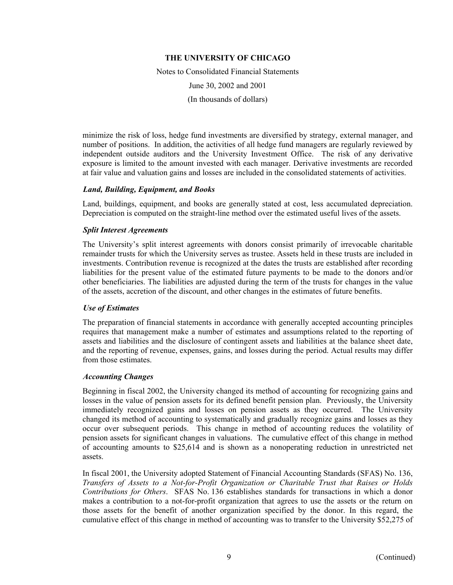Notes to Consolidated Financial Statements June 30, 2002 and 2001 (In thousands of dollars)

minimize the risk of loss, hedge fund investments are diversified by strategy, external manager, and number of positions. In addition, the activities of all hedge fund managers are regularly reviewed by independent outside auditors and the University Investment Office. The risk of any derivative exposure is limited to the amount invested with each manager. Derivative investments are recorded at fair value and valuation gains and losses are included in the consolidated statements of activities.

# *Land, Building, Equipment, and Books*

Land, buildings, equipment, and books are generally stated at cost, less accumulated depreciation. Depreciation is computed on the straight-line method over the estimated useful lives of the assets.

### *Split Interest Agreements*

The University's split interest agreements with donors consist primarily of irrevocable charitable remainder trusts for which the University serves as trustee. Assets held in these trusts are included in investments. Contribution revenue is recognized at the dates the trusts are established after recording liabilities for the present value of the estimated future payments to be made to the donors and/or other beneficiaries. The liabilities are adjusted during the term of the trusts for changes in the value of the assets, accretion of the discount, and other changes in the estimates of future benefits.

# *Use of Estimates*

The preparation of financial statements in accordance with generally accepted accounting principles requires that management make a number of estimates and assumptions related to the reporting of assets and liabilities and the disclosure of contingent assets and liabilities at the balance sheet date, and the reporting of revenue, expenses, gains, and losses during the period. Actual results may differ from those estimates.

### *Accounting Changes*

Beginning in fiscal 2002, the University changed its method of accounting for recognizing gains and losses in the value of pension assets for its defined benefit pension plan. Previously, the University immediately recognized gains and losses on pension assets as they occurred. The University changed its method of accounting to systematically and gradually recognize gains and losses as they occur over subsequent periods. This change in method of accounting reduces the volatility of pension assets for significant changes in valuations. The cumulative effect of this change in method of accounting amounts to \$25,614 and is shown as a nonoperating reduction in unrestricted net assets.

In fiscal 2001, the University adopted Statement of Financial Accounting Standards (SFAS) No. 136, *Transfers of Assets to a Not-for-Profit Organization or Charitable Trust that Raises or Holds Contributions for Others*. SFAS No. 136 establishes standards for transactions in which a donor makes a contribution to a not-for-profit organization that agrees to use the assets or the return on those assets for the benefit of another organization specified by the donor. In this regard, the cumulative effect of this change in method of accounting was to transfer to the University \$52,275 of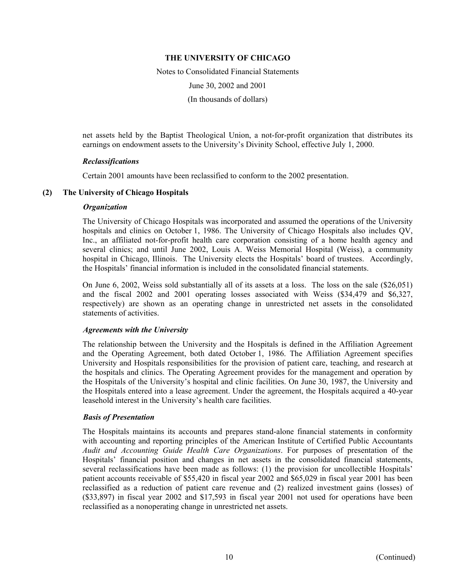Notes to Consolidated Financial Statements June 30, 2002 and 2001 (In thousands of dollars)

net assets held by the Baptist Theological Union, a not-for-profit organization that distributes its earnings on endowment assets to the University's Divinity School, effective July 1, 2000.

### *Reclassifications*

Certain 2001 amounts have been reclassified to conform to the 2002 presentation.

### **(2) The University of Chicago Hospitals**

### *Organization*

The University of Chicago Hospitals was incorporated and assumed the operations of the University hospitals and clinics on October 1, 1986. The University of Chicago Hospitals also includes QV, Inc., an affiliated not-for-profit health care corporation consisting of a home health agency and several clinics; and until June 2002, Louis A. Weiss Memorial Hospital (Weiss), a community hospital in Chicago, Illinois. The University elects the Hospitals' board of trustees. Accordingly, the Hospitals' financial information is included in the consolidated financial statements.

On June 6, 2002, Weiss sold substantially all of its assets at a loss. The loss on the sale (\$26,051) and the fiscal 2002 and 2001 operating losses associated with Weiss (\$34,479 and \$6,327, respectively) are shown as an operating change in unrestricted net assets in the consolidated statements of activities.

### *Agreements with the University*

The relationship between the University and the Hospitals is defined in the Affiliation Agreement and the Operating Agreement, both dated October 1, 1986. The Affiliation Agreement specifies University and Hospitals responsibilities for the provision of patient care, teaching, and research at the hospitals and clinics. The Operating Agreement provides for the management and operation by the Hospitals of the University's hospital and clinic facilities. On June 30, 1987, the University and the Hospitals entered into a lease agreement. Under the agreement, the Hospitals acquired a 40-year leasehold interest in the University's health care facilities.

### *Basis of Presentation*

The Hospitals maintains its accounts and prepares stand-alone financial statements in conformity with accounting and reporting principles of the American Institute of Certified Public Accountants *Audit and Accounting Guide Health Care Organizations*. For purposes of presentation of the Hospitals' financial position and changes in net assets in the consolidated financial statements, several reclassifications have been made as follows: (1) the provision for uncollectible Hospitals' patient accounts receivable of \$55,420 in fiscal year 2002 and \$65,029 in fiscal year 2001 has been reclassified as a reduction of patient care revenue and (2) realized investment gains (losses) of (\$33,897) in fiscal year 2002 and \$17,593 in fiscal year 2001 not used for operations have been reclassified as a nonoperating change in unrestricted net assets.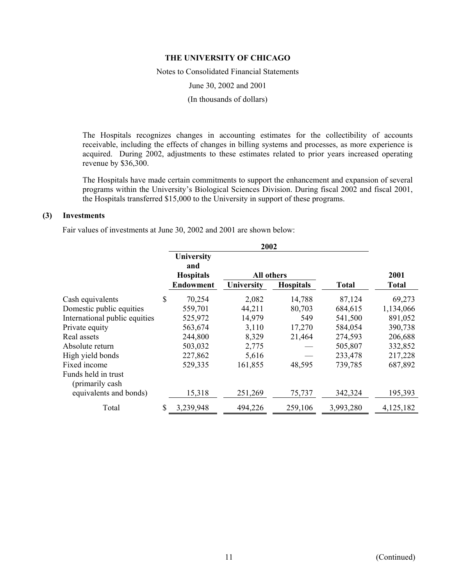Notes to Consolidated Financial Statements

June 30, 2002 and 2001

(In thousands of dollars)

The Hospitals recognizes changes in accounting estimates for the collectibility of accounts receivable, including the effects of changes in billing systems and processes, as more experience is acquired. During 2002, adjustments to these estimates related to prior years increased operating revenue by \$36,300.

The Hospitals have made certain commitments to support the enhancement and expansion of several programs within the University's Biological Sciences Division. During fiscal 2002 and fiscal 2001, the Hospitals transferred \$15,000 to the University in support of these programs.

### **(3) Investments**

Fair values of investments at June 30, 2002 and 2001 are shown below:

|                               | University<br>and<br><b>Hospitals</b> | All others |                  |           | 2001         |
|-------------------------------|---------------------------------------|------------|------------------|-----------|--------------|
|                               | <b>Endowment</b>                      | University | <b>Hospitals</b> | Total     | <b>Total</b> |
| Cash equivalents              | \$<br>70,254                          | 2,082      | 14,788           | 87,124    | 69,273       |
| Domestic public equities      | 559,701                               | 44,211     | 80,703           | 684,615   | 1,134,066    |
| International public equities | 525,972                               | 14,979     | 549              | 541,500   | 891,052      |
| Private equity                | 563,674                               | 3,110      | 17,270           | 584,054   | 390,738      |
| Real assets                   | 244,800                               | 8,329      | 21,464           | 274,593   | 206,688      |
| Absolute return               | 503,032                               | 2,775      |                  | 505,807   | 332,852      |
| High yield bonds              | 227,862                               | 5,616      |                  | 233,478   | 217,228      |
| Fixed income                  | 529,335                               | 161,855    | 48,595           | 739,785   | 687,892      |
| Funds held in trust           |                                       |            |                  |           |              |
| (primarily cash)              |                                       |            |                  |           |              |
| equivalents and bonds)        | 15,318                                | 251,269    | 75,737           | 342,324   | 195,393      |
| Total                         | \$<br>3,239,948                       | 494,226    | 259,106          | 3,993,280 | 4,125,182    |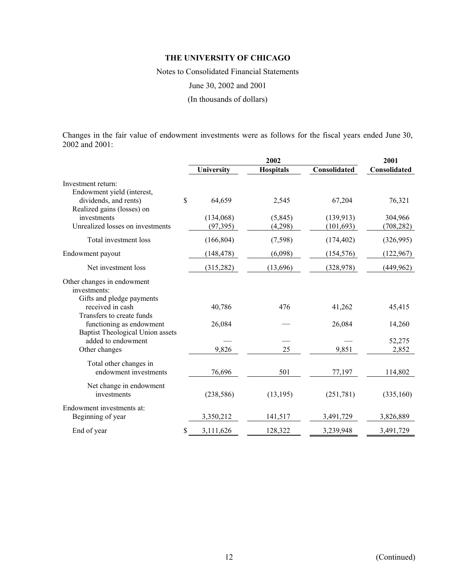Notes to Consolidated Financial Statements

June 30, 2002 and 2001

(In thousands of dollars)

Changes in the fair value of endowment investments were as follows for the fiscal years ended June 30, 2002 and 2001:

|                   | 2001                                       |                                          |                                             |
|-------------------|--------------------------------------------|------------------------------------------|---------------------------------------------|
| <b>University</b> | <b>Hospitals</b>                           | Consolidated                             | Consolidated                                |
|                   |                                            |                                          |                                             |
| \$<br>64,659      | 2,545                                      | 67,204                                   | 76,321                                      |
| (134,068)         | (5, 845)                                   | (139, 913)                               | 304,966                                     |
|                   |                                            |                                          | (708, 282)                                  |
|                   |                                            |                                          | (326,995)                                   |
| (148, 478)        | (6,098)                                    | (154, 576)                               | (122, 967)                                  |
| (315, 282)        | (13,696)                                   | (328, 978)                               | (449, 962)                                  |
|                   |                                            |                                          |                                             |
| 40,786            | 476                                        | 41,262                                   | 45,415                                      |
| 26,084            |                                            | 26,084                                   | 14,260                                      |
|                   |                                            |                                          | 52,275                                      |
|                   |                                            |                                          | 2,852                                       |
|                   |                                            |                                          | 114,802                                     |
|                   |                                            |                                          |                                             |
| (238, 586)        | (13, 195)                                  | (251,781)                                | (335,160)                                   |
| 3,350,212         | 141,517                                    | 3,491,729                                | 3,826,889                                   |
| \$<br>3,111,626   | 128,322                                    | 3,239,948                                | 3,491,729                                   |
|                   | (97, 395)<br>(166, 804)<br>9,826<br>76,696 | 2002<br>(4,298)<br>(7, 598)<br>25<br>501 | (101, 693)<br>(174, 402)<br>9,851<br>77,197 |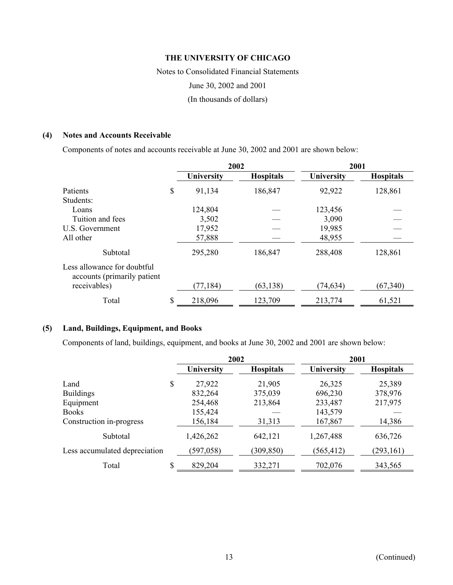Notes to Consolidated Financial Statements June 30, 2002 and 2001 (In thousands of dollars)

### **(4) Notes and Accounts Receivable**

Components of notes and accounts receivable at June 30, 2002 and 2001 are shown below:

|                                                            | 2002              |                  | 2001       |                  |
|------------------------------------------------------------|-------------------|------------------|------------|------------------|
|                                                            | <b>University</b> | <b>Hospitals</b> | University | <b>Hospitals</b> |
| Patients                                                   | \$<br>91,134      | 186,847          | 92,922     | 128,861          |
| Students:                                                  |                   |                  |            |                  |
| Loans                                                      | 124,804           |                  | 123,456    |                  |
| Tuition and fees                                           | 3,502             |                  | 3,090      |                  |
| U.S. Government                                            | 17,952            |                  | 19,985     |                  |
| All other                                                  | 57,888            |                  | 48,955     |                  |
| Subtotal                                                   | 295,280           | 186,847          | 288,408    | 128,861          |
| Less allowance for doubtful<br>accounts (primarily patient |                   |                  |            |                  |
| receivables)                                               | (77, 184)         | (63, 138)        | (74, 634)  | (67, 340)        |
| Total                                                      | \$<br>218,096     | 123,709          | 213,774    | 61,521           |

### **(5) Land, Buildings, Equipment, and Books**

Components of land, buildings, equipment, and books at June 30, 2002 and 2001 are shown below:

|                               | 2002          |                  | 2001       |                  |
|-------------------------------|---------------|------------------|------------|------------------|
|                               | University    | <b>Hospitals</b> | University | <b>Hospitals</b> |
| Land                          | \$<br>27,922  | 21,905           | 26,325     | 25,389           |
| <b>Buildings</b>              | 832,264       | 375,039          | 696,230    | 378,976          |
| Equipment                     | 254,468       | 213,864          | 233,487    | 217,975          |
| <b>Books</b>                  | 155,424       |                  | 143,579    |                  |
| Construction in-progress      | 156,184       | 31,313           | 167,867    | 14,386           |
| Subtotal                      | 1,426,262     | 642,121          | 1,267,488  | 636,726          |
| Less accumulated depreciation | (597, 058)    | (309, 850)       | (565, 412) | (293, 161)       |
| Total                         | \$<br>829,204 | 332,271          | 702,076    | 343,565          |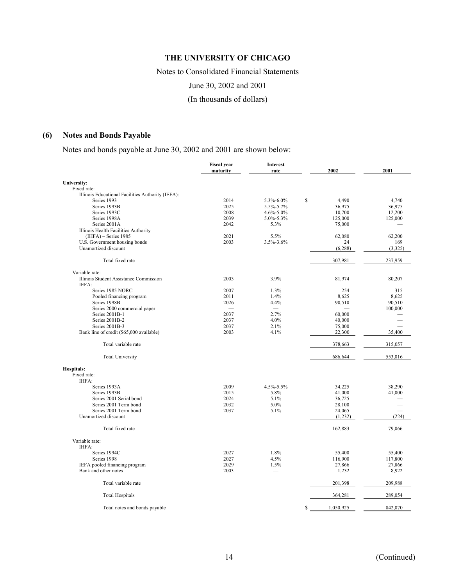Notes to Consolidated Financial Statements

June 30, 2002 and 2001

(In thousands of dollars)

# **(6) Notes and Bonds Payable**

Notes and bonds payable at June 30, 2002 and 2001 are shown below:

|                                                   | <b>Fiscal year</b><br>maturity | <b>Interest</b><br>rate  | 2002            | 2001    |
|---------------------------------------------------|--------------------------------|--------------------------|-----------------|---------|
| University:                                       |                                |                          |                 |         |
| Fixed rate:                                       |                                |                          |                 |         |
| Illinois Educational Facilities Authority (IEFA): |                                |                          |                 |         |
| Series 1993                                       | 2014                           | 5.3%-6.0%                | \$<br>4,490     | 4,740   |
| Series 1993B                                      | 2025                           | 5.5%-5.7%                | 36,975          | 36,975  |
| Series 1993C                                      | 2008                           | $4.6\% - 5.0\%$          | 10.700          | 12,200  |
| Series 1998A                                      | 2039                           | $5.0\% - 5.3\%$          | 125,000         | 125,000 |
| Series 2001A                                      | 2042                           | 5.3%                     | 75,000          |         |
| Illinois Health Facilities Authority              |                                |                          |                 |         |
| $(IIIFA)$ – Series 1985                           | 2021                           | 5.5%                     | 62,080          | 62,200  |
| U.S. Government housing bonds                     | 2003                           | 3.5%-3.6%                | 24              | 169     |
| Unamortized discount                              |                                |                          | (6, 288)        | (3,325) |
| Total fixed rate                                  |                                |                          | 307,981         | 237,959 |
| Variable rate:                                    |                                |                          |                 |         |
| Illinois Student Assistance Commission            | 2003                           | 3.9%                     | 81,974          | 80,207  |
| IEFA:                                             |                                |                          |                 |         |
| Series 1985 NORC                                  | 2007                           | 1.3%                     | 254             | 315     |
| Pooled financing program                          | 2011                           | 1.4%                     | 8,625           | 8,625   |
| Series 1998B                                      | 2026                           | 4.4%                     | 90,510          | 90,510  |
| Series 2000 commercial paper                      |                                | $\overline{\phantom{0}}$ |                 | 100,000 |
| Series 2001B-1                                    | 2037                           | 2.7%                     | 60,000          |         |
| Series 2001B-2                                    | 2037                           | 4.0%                     | 40,000          |         |
| Series 2001B-3                                    | 2037                           | 2.1%                     | 75,000          |         |
| Bank line of credit (\$65,000 available)          | 2003                           | 4.1%                     | 22,300          | 35,400  |
|                                                   |                                |                          |                 |         |
| Total variable rate                               |                                |                          | 378,663         | 315,057 |
| <b>Total University</b>                           |                                |                          | 686,644         | 553,016 |
| Hospitals:                                        |                                |                          |                 |         |
| Fixed rate:                                       |                                |                          |                 |         |
| IHFA:                                             |                                |                          |                 |         |
| Series 1993A                                      | 2009                           | $4.5\% - 5.5\%$          | 34,225          | 38,290  |
| Series 1993B                                      | 2015                           | 5.8%                     | 41,000          | 41,000  |
| Series 2001 Serial bond                           | 2024                           | 5.1%                     | 36,725          |         |
| Series 2001 Term bond                             | 2032                           | 5.0%                     | 28,100          |         |
| Series 2001 Term bond                             | 2037                           | 5.1%                     | 24,065          |         |
| Unamortized discount                              |                                |                          | (1,232)         | (224)   |
| Total fixed rate                                  |                                |                          | 162,883         | 79,066  |
| Variable rate:                                    |                                |                          |                 |         |
| IHFA:                                             |                                |                          |                 |         |
| Series 1994C                                      | 2027                           | 1.8%                     | 55,400          | 55,400  |
| Series 1998                                       | 2027                           | 4.5%                     | 116,900         | 117,800 |
| IEFA pooled financing program                     | 2029                           | 1.5%                     | 27,866          | 27,866  |
| Bank and other notes                              | 2003                           | $\overline{\phantom{0}}$ | 1.232           | 8,922   |
| Total variable rate                               |                                |                          | 201,398         | 209,988 |
| <b>Total Hospitals</b>                            |                                |                          | 364,281         | 289,054 |
| Total notes and bonds payable                     |                                |                          | \$<br>1,050,925 | 842,070 |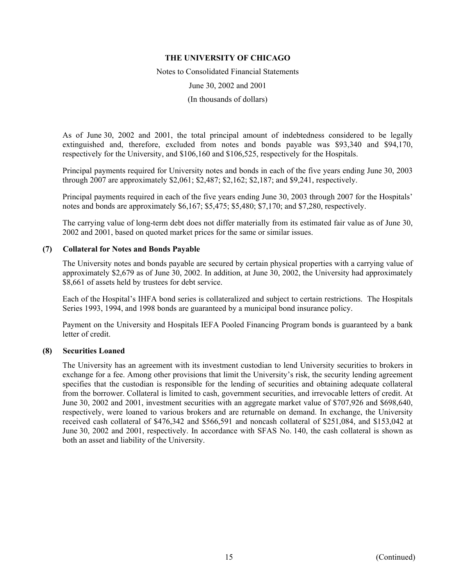Notes to Consolidated Financial Statements

June 30, 2002 and 2001

(In thousands of dollars)

As of June 30, 2002 and 2001, the total principal amount of indebtedness considered to be legally extinguished and, therefore, excluded from notes and bonds payable was \$93,340 and \$94,170, respectively for the University, and \$106,160 and \$106,525, respectively for the Hospitals.

Principal payments required for University notes and bonds in each of the five years ending June 30, 2003 through 2007 are approximately \$2,061; \$2,487; \$2,162; \$2,187; and \$9,241, respectively.

Principal payments required in each of the five years ending June 30, 2003 through 2007 for the Hospitals' notes and bonds are approximately \$6,167; \$5,475; \$5,480; \$7,170; and \$7,280, respectively.

The carrying value of long-term debt does not differ materially from its estimated fair value as of June 30, 2002 and 2001, based on quoted market prices for the same or similar issues.

### **(7) Collateral for Notes and Bonds Payable**

The University notes and bonds payable are secured by certain physical properties with a carrying value of approximately \$2,679 as of June 30, 2002. In addition, at June 30, 2002, the University had approximately \$8,661 of assets held by trustees for debt service.

Each of the Hospital's IHFA bond series is collateralized and subject to certain restrictions. The Hospitals Series 1993, 1994, and 1998 bonds are guaranteed by a municipal bond insurance policy.

Payment on the University and Hospitals IEFA Pooled Financing Program bonds is guaranteed by a bank letter of credit.

### **(8) Securities Loaned**

The University has an agreement with its investment custodian to lend University securities to brokers in exchange for a fee. Among other provisions that limit the University's risk, the security lending agreement specifies that the custodian is responsible for the lending of securities and obtaining adequate collateral from the borrower. Collateral is limited to cash, government securities, and irrevocable letters of credit. At June 30, 2002 and 2001, investment securities with an aggregate market value of \$707,926 and \$698,640, respectively, were loaned to various brokers and are returnable on demand. In exchange, the University received cash collateral of \$476,342 and \$566,591 and noncash collateral of \$251,084, and \$153,042 at June 30, 2002 and 2001, respectively. In accordance with SFAS No. 140, the cash collateral is shown as both an asset and liability of the University.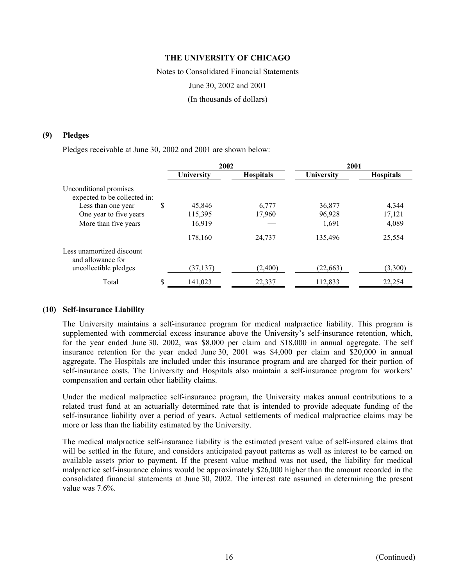Notes to Consolidated Financial Statements June 30, 2002 and 2001 (In thousands of dollars)

### **(9) Pledges**

Pledges receivable at June 30, 2002 and 2001 are shown below:

|                                                        | 2002         |                  | 2001       |                  |
|--------------------------------------------------------|--------------|------------------|------------|------------------|
|                                                        | University   | <b>Hospitals</b> | University | <b>Hospitals</b> |
| Unconditional promises<br>expected to be collected in: |              |                  |            |                  |
| Less than one year                                     | \$<br>45,846 | 6,777            | 36,877     | 4,344            |
| One year to five years                                 | 115,395      | 17,960           | 96,928     | 17,121           |
| More than five years                                   | 16,919       |                  | 1,691      | 4,089            |
|                                                        | 178,160      | 24,737           | 135,496    | 25,554           |
| Less unamortized discount<br>and allowance for         |              |                  |            |                  |
| uncollectible pledges                                  | (37, 137)    | (2,400)          | (22, 663)  | (3,300)          |
| Total                                                  | 141,023      | 22,337           | 112,833    | 22,254           |

### **(10) Self-insurance Liability**

The University maintains a self-insurance program for medical malpractice liability. This program is supplemented with commercial excess insurance above the University's self-insurance retention, which, for the year ended June 30, 2002, was \$8,000 per claim and \$18,000 in annual aggregate. The self insurance retention for the year ended June 30, 2001 was \$4,000 per claim and \$20,000 in annual aggregate. The Hospitals are included under this insurance program and are charged for their portion of self-insurance costs. The University and Hospitals also maintain a self-insurance program for workers' compensation and certain other liability claims.

Under the medical malpractice self-insurance program, the University makes annual contributions to a related trust fund at an actuarially determined rate that is intended to provide adequate funding of the self-insurance liability over a period of years. Actual settlements of medical malpractice claims may be more or less than the liability estimated by the University.

The medical malpractice self-insurance liability is the estimated present value of self-insured claims that will be settled in the future, and considers anticipated payout patterns as well as interest to be earned on available assets prior to payment. If the present value method was not used, the liability for medical malpractice self-insurance claims would be approximately \$26,000 higher than the amount recorded in the consolidated financial statements at June 30, 2002. The interest rate assumed in determining the present value was 7.6%.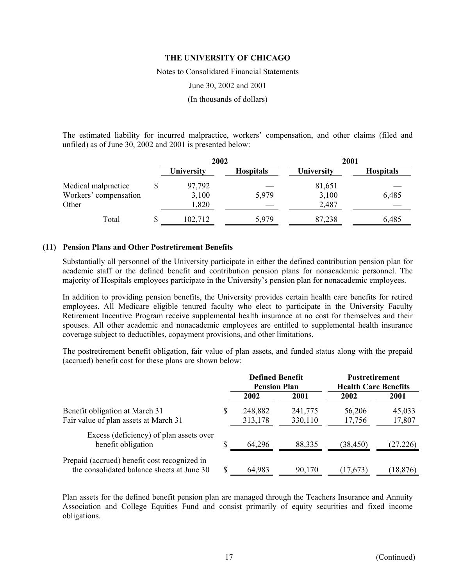Notes to Consolidated Financial Statements

June 30, 2002 and 2001

(In thousands of dollars)

The estimated liability for incurred malpractice, workers' compensation, and other claims (filed and unfiled) as of June 30, 2002 and 2001 is presented below:

|                       | 2002       |                  | 2001              |                  |  |
|-----------------------|------------|------------------|-------------------|------------------|--|
|                       | University | <b>Hospitals</b> | <b>University</b> | <b>Hospitals</b> |  |
| Medical malpractice   | 97,792     |                  | 81,651            |                  |  |
| Workers' compensation | 3,100      | 5,979            | 3,100             | 6,485            |  |
| Other                 | 1,820      |                  | 2,487             |                  |  |
| Total                 | 102,712    | 5,979            | 87,238            | 6,485            |  |

### **(11) Pension Plans and Other Postretirement Benefits**

Substantially all personnel of the University participate in either the defined contribution pension plan for academic staff or the defined benefit and contribution pension plans for nonacademic personnel. The majority of Hospitals employees participate in the University's pension plan for nonacademic employees.

In addition to providing pension benefits, the University provides certain health care benefits for retired employees. All Medicare eligible tenured faculty who elect to participate in the University Faculty Retirement Incentive Program receive supplemental health insurance at no cost for themselves and their spouses. All other academic and nonacademic employees are entitled to supplemental health insurance coverage subject to deductibles, copayment provisions, and other limitations.

The postretirement benefit obligation, fair value of plan assets, and funded status along with the prepaid (accrued) benefit cost for these plans are shown below:

|                                                                                            |    | <b>Defined Benefit</b><br><b>Pension Plan</b> |                    | <b>Postretirement</b><br><b>Health Care Benefits</b> |                  |
|--------------------------------------------------------------------------------------------|----|-----------------------------------------------|--------------------|------------------------------------------------------|------------------|
|                                                                                            |    | 2002                                          | 2001               | 2002                                                 | 2001             |
| Benefit obligation at March 31<br>Fair value of plan assets at March 31                    | S  | 248,882<br>313,178                            | 241,775<br>330,110 | 56,206<br>17,756                                     | 45,033<br>17,807 |
| Excess (deficiency) of plan assets over<br>benefit obligation                              |    | 64,296                                        | 88,335             | (38, 450)                                            | (27, 226)        |
| Prepaid (accrued) benefit cost recognized in<br>the consolidated balance sheets at June 30 | \$ | 64,983                                        | 90,170             | (17, 673)                                            | (18, 876)        |

Plan assets for the defined benefit pension plan are managed through the Teachers Insurance and Annuity Association and College Equities Fund and consist primarily of equity securities and fixed income obligations.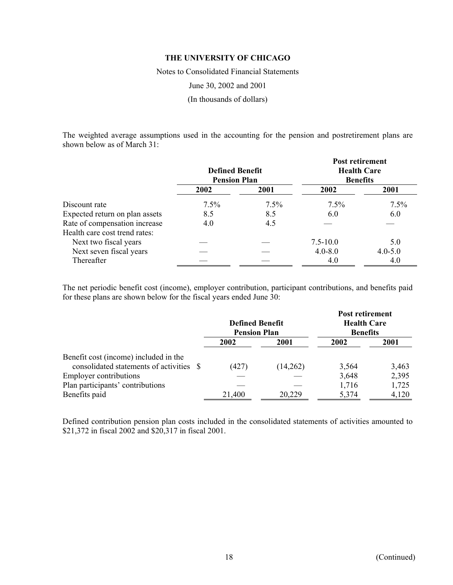Notes to Consolidated Financial Statements

June 30, 2002 and 2001

(In thousands of dollars)

The weighted average assumptions used in the accounting for the pension and postretirement plans are shown below as of March 31:

|                                | <b>Defined Benefit</b><br><b>Pension Plan</b> |      | Post retirement<br><b>Health Care</b><br><b>Benefits</b> |             |  |
|--------------------------------|-----------------------------------------------|------|----------------------------------------------------------|-------------|--|
|                                | 2002                                          | 2001 | 2002                                                     | 2001        |  |
| Discount rate                  | $7.5\%$                                       | 7.5% | 7.5%                                                     | 7.5%        |  |
| Expected return on plan assets | 8.5                                           | 8.5  | 6.0                                                      | 6.0         |  |
| Rate of compensation increase  | 4.0                                           | 4.5  |                                                          |             |  |
| Health care cost trend rates:  |                                               |      |                                                          |             |  |
| Next two fiscal years          |                                               |      | $7.5 - 10.0$                                             | 5.0         |  |
| Next seven fiscal years        |                                               |      | $4.0 - 8.0$                                              | $4.0 - 5.0$ |  |
| Thereafter                     |                                               |      | 4.0                                                      | 4.0         |  |

The net periodic benefit cost (income), employer contribution, participant contributions, and benefits paid for these plans are shown below for the fiscal years ended June 30:

|                                                                                   | <b>Pension Plan</b> | <b>Defined Benefit</b> | <b>Post retirement</b><br><b>Health Care</b><br><b>Benefits</b> |       |  |
|-----------------------------------------------------------------------------------|---------------------|------------------------|-----------------------------------------------------------------|-------|--|
|                                                                                   | 2002                | 2001                   | 2002                                                            | 2001  |  |
| Benefit cost (income) included in the<br>consolidated statements of activities \$ | (427)               | (14,262)               | 3,564                                                           | 3,463 |  |
| <b>Employer contributions</b>                                                     |                     |                        | 3,648                                                           | 2,395 |  |
| Plan participants' contributions                                                  |                     |                        | 1,716                                                           | 1,725 |  |
| Benefits paid                                                                     | 21,400              | 20,229                 | 5,374                                                           | 4,120 |  |

Defined contribution pension plan costs included in the consolidated statements of activities amounted to \$21,372 in fiscal 2002 and \$20,317 in fiscal 2001.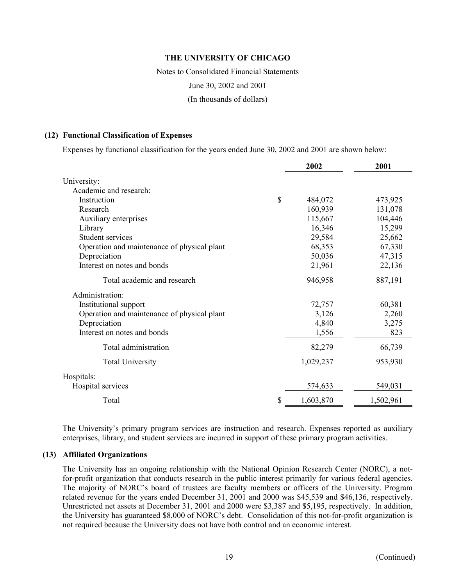Notes to Consolidated Financial Statements

June 30, 2002 and 2001

(In thousands of dollars)

#### **(12) Functional Classification of Expenses**

Expenses by functional classification for the years ended June 30, 2002 and 2001 are shown below:

|                                             | 2002            | 2001      |
|---------------------------------------------|-----------------|-----------|
| University:                                 |                 |           |
| Academic and research:                      |                 |           |
| Instruction                                 | \$<br>484,072   | 473,925   |
| Research                                    | 160,939         | 131,078   |
| Auxiliary enterprises                       | 115,667         | 104,446   |
| Library                                     | 16,346          | 15,299    |
| <b>Student services</b>                     | 29,584          | 25,662    |
| Operation and maintenance of physical plant | 68,353          | 67,330    |
| Depreciation                                | 50,036          | 47,315    |
| Interest on notes and bonds                 | 21,961          | 22,136    |
| Total academic and research                 | 946,958         | 887,191   |
| Administration:                             |                 |           |
| Institutional support                       | 72,757          | 60,381    |
| Operation and maintenance of physical plant | 3,126           | 2,260     |
| Depreciation                                | 4,840           | 3,275     |
| Interest on notes and bonds                 | 1,556           | 823       |
| Total administration                        | 82,279          | 66,739    |
| <b>Total University</b>                     | 1,029,237       | 953,930   |
| Hospitals:                                  |                 |           |
| Hospital services                           | 574,633         | 549,031   |
| Total                                       | \$<br>1,603,870 | 1,502,961 |

The University's primary program services are instruction and research. Expenses reported as auxiliary enterprises, library, and student services are incurred in support of these primary program activities.

### **(13) Affiliated Organizations**

The University has an ongoing relationship with the National Opinion Research Center (NORC), a notfor-profit organization that conducts research in the public interest primarily for various federal agencies. The majority of NORC's board of trustees are faculty members or officers of the University. Program related revenue for the years ended December 31, 2001 and 2000 was \$45,539 and \$46,136, respectively. Unrestricted net assets at December 31, 2001 and 2000 were \$3,387 and \$5,195, respectively. In addition, the University has guaranteed \$8,000 of NORC's debt. Consolidation of this not-for-profit organization is not required because the University does not have both control and an economic interest.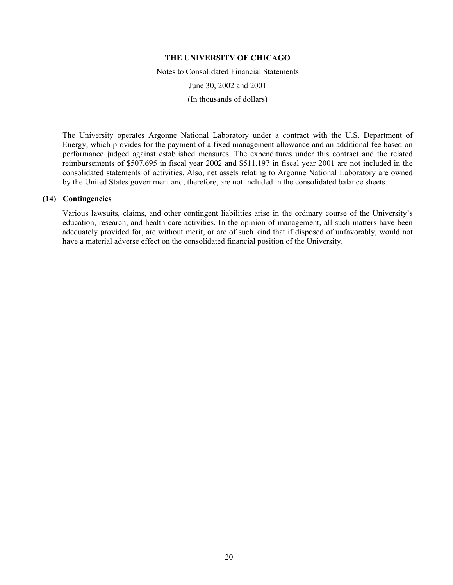Notes to Consolidated Financial Statements June 30, 2002 and 2001 (In thousands of dollars)

The University operates Argonne National Laboratory under a contract with the U.S. Department of Energy, which provides for the payment of a fixed management allowance and an additional fee based on performance judged against established measures. The expenditures under this contract and the related reimbursements of \$507,695 in fiscal year 2002 and \$511,197 in fiscal year 2001 are not included in the consolidated statements of activities. Also, net assets relating to Argonne National Laboratory are owned by the United States government and, therefore, are not included in the consolidated balance sheets.

# **(14) Contingencies**

Various lawsuits, claims, and other contingent liabilities arise in the ordinary course of the University's education, research, and health care activities. In the opinion of management, all such matters have been adequately provided for, are without merit, or are of such kind that if disposed of unfavorably, would not have a material adverse effect on the consolidated financial position of the University.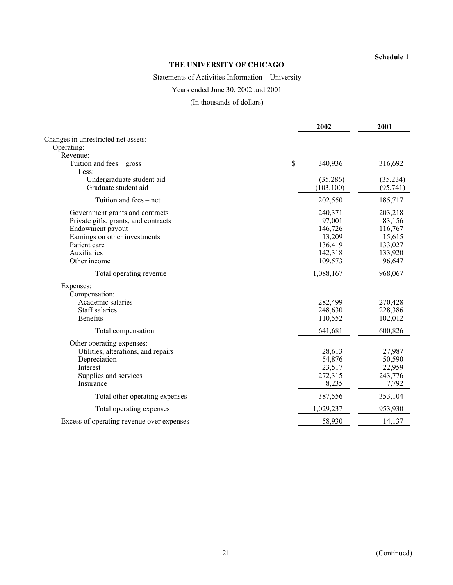### **Schedule 1**

# **THE UNIVERSITY OF CHICAGO**

# Statements of Activities Information – University

# Years ended June 30, 2002 and 2001

(In thousands of dollars)

|                                                                                                                                                                             |               | 2002                                                                    | 2001                                                                   |
|-----------------------------------------------------------------------------------------------------------------------------------------------------------------------------|---------------|-------------------------------------------------------------------------|------------------------------------------------------------------------|
| Changes in unrestricted net assets:                                                                                                                                         |               |                                                                         |                                                                        |
| Operating:                                                                                                                                                                  |               |                                                                         |                                                                        |
| Revenue:                                                                                                                                                                    |               |                                                                         |                                                                        |
| Tuition and fees $-$ gross<br>Less:                                                                                                                                         | $\mathsf{\$}$ | 340,936                                                                 | 316,692                                                                |
| Undergraduate student aid<br>Graduate student aid                                                                                                                           |               | (35,286)<br>(103, 100)                                                  | (35,234)<br>(95, 741)                                                  |
| Tuition and fees – net                                                                                                                                                      |               | 202,550                                                                 | 185,717                                                                |
| Government grants and contracts<br>Private gifts, grants, and contracts<br>Endowment payout<br>Earnings on other investments<br>Patient care<br>Auxiliaries<br>Other income |               | 240,371<br>97,001<br>146,726<br>13,209<br>136,419<br>142,318<br>109,573 | 203,218<br>83,156<br>116,767<br>15,615<br>133,027<br>133,920<br>96,647 |
| Total operating revenue                                                                                                                                                     |               | 1,088,167                                                               | 968,067                                                                |
| Expenses:<br>Compensation:<br>Academic salaries<br><b>Staff salaries</b><br><b>Benefits</b>                                                                                 |               | 282,499<br>248,630<br>110,552                                           | 270,428<br>228,386<br>102,012                                          |
| Total compensation                                                                                                                                                          |               | 641,681                                                                 | 600,826                                                                |
| Other operating expenses:<br>Utilities, alterations, and repairs<br>Depreciation<br>Interest<br>Supplies and services<br>Insurance                                          |               | 28,613<br>54,876<br>23,517<br>272,315<br>8,235                          | 27,987<br>50,590<br>22,959<br>243,776<br>7,792                         |
| Total other operating expenses                                                                                                                                              |               | 387,556                                                                 | 353,104                                                                |
| Total operating expenses                                                                                                                                                    |               | 1,029,237                                                               | 953,930                                                                |
| Excess of operating revenue over expenses                                                                                                                                   |               | 58,930                                                                  | 14,137                                                                 |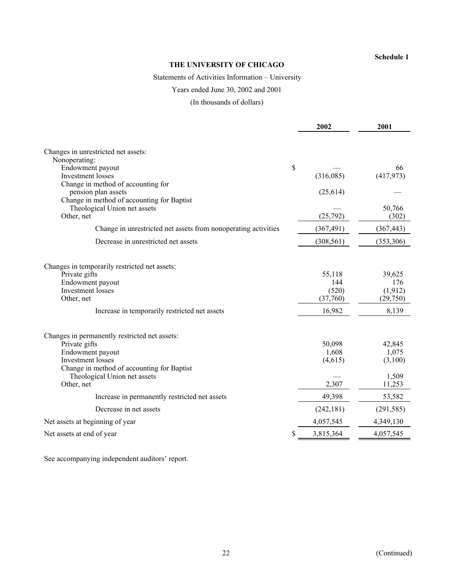### **Schedule 1**

# **THE UNIVERSITY OF CHICAGO**

Statements of Activities Information – University

# Years ended June 30, 2002 and 2001

(In thousands of dollars)

|                                                                | 2002       | 2001            |
|----------------------------------------------------------------|------------|-----------------|
|                                                                |            |                 |
| Changes in unrestricted net assets:                            |            |                 |
| Nonoperating:                                                  |            |                 |
| Endowment payout<br>\$                                         |            | 66              |
| <b>Investment</b> losses                                       | (316,085)  | (417, 973)      |
| Change in method of accounting for                             |            |                 |
| pension plan assets                                            | (25,614)   |                 |
| Change in method of accounting for Baptist                     |            |                 |
| Theological Union net assets<br>Other, net                     | (25,792)   | 50,766<br>(302) |
|                                                                |            |                 |
| Change in unrestricted net assets from nonoperating activities | (367, 491) | (367, 443)      |
| Decrease in unrestricted net assets                            | (308, 561) | (353, 306)      |
|                                                                |            |                 |
| Changes in temporarily restricted net assets:                  |            |                 |
| Private gifts                                                  | 55,118     | 39,625          |
| Endowment payout                                               | 144        | 176             |
| <b>Investment</b> losses                                       | (520)      | (1, 912)        |
| Other, net                                                     | (37,760)   | (29,750)        |
| Increase in temporarily restricted net assets                  | 16,982     | 8,139           |
| Changes in permanently restricted net assets:                  |            |                 |
| Private gifts                                                  | 50,098     | 42,845          |
| Endowment payout                                               | 1,608      | 1,075           |
| <b>Investment</b> losses                                       | (4,615)    | (3,100)         |
| Change in method of accounting for Baptist                     |            |                 |
| Theological Union net assets                                   |            | 1,509           |
| Other, net                                                     | 2,307      | 11,253          |
| Increase in permanently restricted net assets                  | 49,398     | 53,582          |
| Decrease in net assets                                         | (242, 181) | (291, 585)      |
| Net assets at beginning of year                                | 4,057,545  | 4,349,130       |
| Net assets at end of year                                      | 3,815,364  | 4,057,545       |

See accompanying independent auditors' report.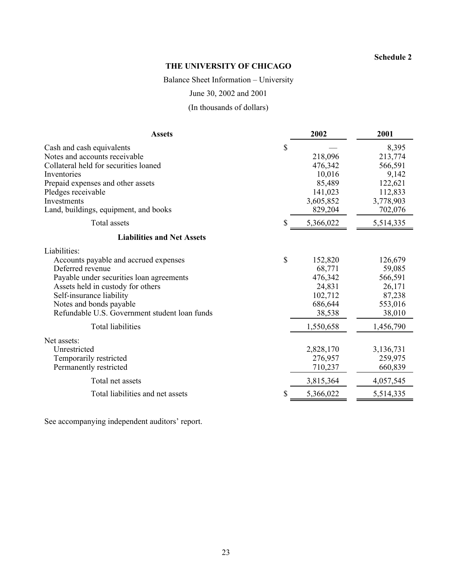# **Schedule 2**

# **THE UNIVERSITY OF CHICAGO**

Balance Sheet Information – University

June 30, 2002 and 2001

(In thousands of dollars)

| <b>Assets</b>                                                                                                                                                                                                                                                                                  |    | 2002                                                                                | 2001                                                                               |
|------------------------------------------------------------------------------------------------------------------------------------------------------------------------------------------------------------------------------------------------------------------------------------------------|----|-------------------------------------------------------------------------------------|------------------------------------------------------------------------------------|
| Cash and cash equivalents<br>Notes and accounts receivable<br>Collateral held for securities loaned<br>Inventories<br>Prepaid expenses and other assets<br>Pledges receivable<br>Investments<br>Land, buildings, equipment, and books                                                          | \$ | 218,096<br>476,342<br>10,016<br>85,489<br>141,023<br>3,605,852<br>829,204           | 8,395<br>213,774<br>566,591<br>9,142<br>122,621<br>112,833<br>3,778,903<br>702,076 |
| Total assets                                                                                                                                                                                                                                                                                   | S. | 5,366,022                                                                           | 5,514,335                                                                          |
| <b>Liabilities and Net Assets</b>                                                                                                                                                                                                                                                              |    |                                                                                     |                                                                                    |
| Liabilities:<br>Accounts payable and accrued expenses<br>Deferred revenue<br>Payable under securities loan agreements<br>Assets held in custody for others<br>Self-insurance liability<br>Notes and bonds payable<br>Refundable U.S. Government student loan funds<br><b>Total liabilities</b> | \$ | 152,820<br>68,771<br>476,342<br>24,831<br>102,712<br>686,644<br>38,538<br>1,550,658 | 126,679<br>59,085<br>566,591<br>26,171<br>87,238<br>553,016<br>38,010<br>1,456,790 |
| Net assets:<br>Unrestricted<br>Temporarily restricted<br>Permanently restricted                                                                                                                                                                                                                |    | 2,828,170<br>276,957<br>710,237                                                     | 3,136,731<br>259,975<br>660,839                                                    |
| Total net assets                                                                                                                                                                                                                                                                               |    | 3,815,364                                                                           | 4,057,545                                                                          |
| Total liabilities and net assets                                                                                                                                                                                                                                                               | S  | 5,366,022                                                                           | 5,514,335                                                                          |

See accompanying independent auditors' report.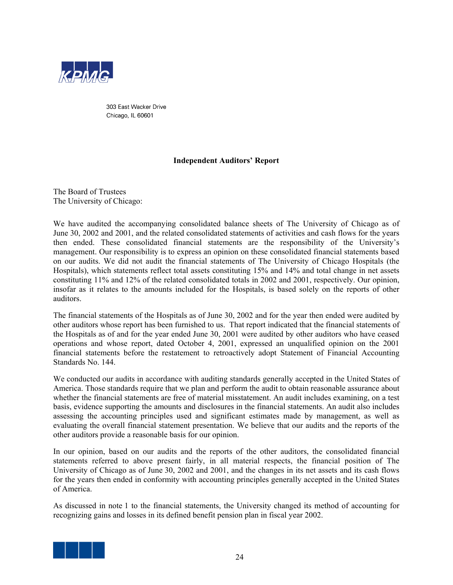

303 East Wacker Drive Chicago, IL 60601

# **Independent Auditors' Report**

The Board of Trustees The University of Chicago:

We have audited the accompanying consolidated balance sheets of The University of Chicago as of June 30, 2002 and 2001, and the related consolidated statements of activities and cash flows for the years then ended. These consolidated financial statements are the responsibility of the University's management. Our responsibility is to express an opinion on these consolidated financial statements based on our audits. We did not audit the financial statements of The University of Chicago Hospitals (the Hospitals), which statements reflect total assets constituting 15% and 14% and total change in net assets constituting 11% and 12% of the related consolidated totals in 2002 and 2001, respectively. Our opinion, insofar as it relates to the amounts included for the Hospitals, is based solely on the reports of other auditors.

The financial statements of the Hospitals as of June 30, 2002 and for the year then ended were audited by other auditors whose report has been furnished to us. That report indicated that the financial statements of the Hospitals as of and for the year ended June 30, 2001 were audited by other auditors who have ceased operations and whose report, dated October 4, 2001, expressed an unqualified opinion on the 2001 financial statements before the restatement to retroactively adopt Statement of Financial Accounting Standards No. 144.

We conducted our audits in accordance with auditing standards generally accepted in the United States of America. Those standards require that we plan and perform the audit to obtain reasonable assurance about whether the financial statements are free of material misstatement. An audit includes examining, on a test basis, evidence supporting the amounts and disclosures in the financial statements. An audit also includes assessing the accounting principles used and significant estimates made by management, as well as evaluating the overall financial statement presentation. We believe that our audits and the reports of the other auditors provide a reasonable basis for our opinion.

In our opinion, based on our audits and the reports of the other auditors, the consolidated financial statements referred to above present fairly, in all material respects, the financial position of The University of Chicago as of June 30, 2002 and 2001, and the changes in its net assets and its cash flows for the years then ended in conformity with accounting principles generally accepted in the United States of America.

As discussed in note 1 to the financial statements, the University changed its method of accounting for recognizing gains and losses in its defined benefit pension plan in fiscal year 2002.